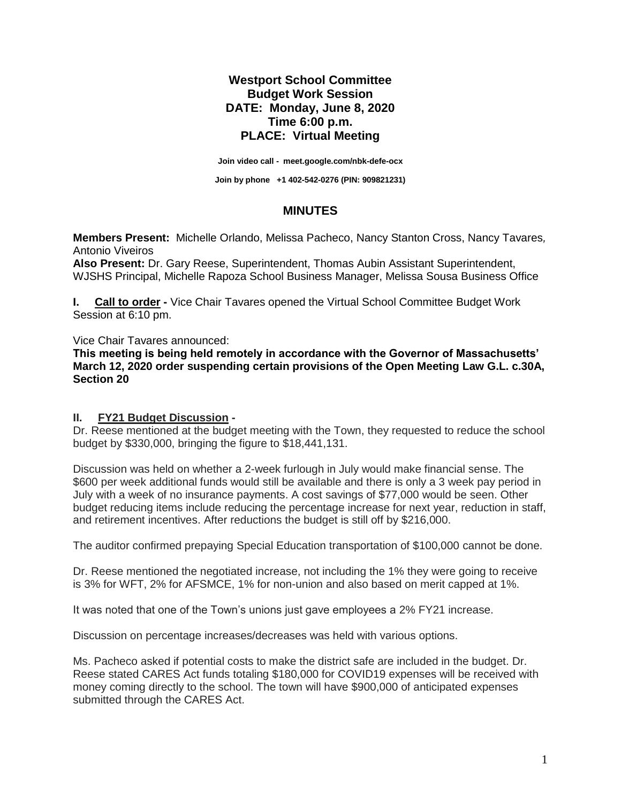## **Westport School Committee Budget Work Session DATE: Monday, June 8, 2020 Time 6:00 p.m. PLACE: Virtual Meeting**

**Join video call - [meet.google.com/nbk-defe-ocx](https://meet.google.com/nbk-defe-ocx)**

**Join by phone +1 402-542-0276 (PIN: 909821231)**

## **MINUTES**

**Members Present:** Michelle Orlando, Melissa Pacheco, Nancy Stanton Cross, Nancy Tavares*,*  Antonio Viveiros

**Also Present:** Dr. Gary Reese, Superintendent, Thomas Aubin Assistant Superintendent, WJSHS Principal, Michelle Rapoza School Business Manager, Melissa Sousa Business Office

**I. Call to order -** Vice Chair Tavares opened the Virtual School Committee Budget Work Session at 6:10 pm.

Vice Chair Tavares announced:

**This meeting is being held remotely in accordance with the Governor of Massachusetts' March 12, 2020 order suspending certain provisions of the Open Meeting Law G.L. c.30A, Section 20**

## **II. FY21 Budget Discussion -**

Dr. Reese mentioned at the budget meeting with the Town, they requested to reduce the school budget by \$330,000, bringing the figure to \$18,441,131.

Discussion was held on whether a 2-week furlough in July would make financial sense. The \$600 per week additional funds would still be available and there is only a 3 week pay period in July with a week of no insurance payments. A cost savings of \$77,000 would be seen. Other budget reducing items include reducing the percentage increase for next year, reduction in staff, and retirement incentives. After reductions the budget is still off by \$216,000.

The auditor confirmed prepaying Special Education transportation of \$100,000 cannot be done.

Dr. Reese mentioned the negotiated increase, not including the 1% they were going to receive is 3% for WFT, 2% for AFSMCE, 1% for non-union and also based on merit capped at 1%.

It was noted that one of the Town's unions just gave employees a 2% FY21 increase.

Discussion on percentage increases/decreases was held with various options.

Ms. Pacheco asked if potential costs to make the district safe are included in the budget. Dr. Reese stated CARES Act funds totaling \$180,000 for COVID19 expenses will be received with money coming directly to the school. The town will have \$900,000 of anticipated expenses submitted through the CARES Act.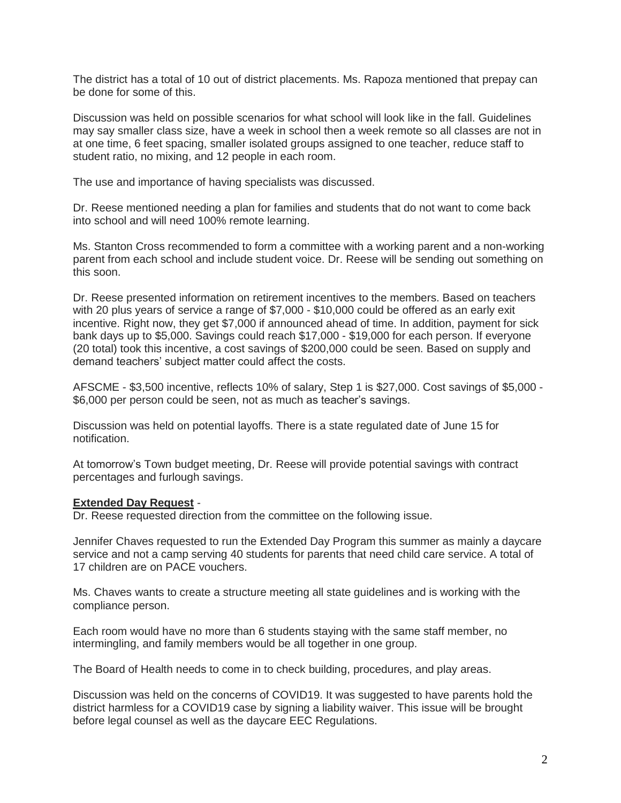The district has a total of 10 out of district placements. Ms. Rapoza mentioned that prepay can be done for some of this.

Discussion was held on possible scenarios for what school will look like in the fall. Guidelines may say smaller class size, have a week in school then a week remote so all classes are not in at one time, 6 feet spacing, smaller isolated groups assigned to one teacher, reduce staff to student ratio, no mixing, and 12 people in each room.

The use and importance of having specialists was discussed.

Dr. Reese mentioned needing a plan for families and students that do not want to come back into school and will need 100% remote learning.

Ms. Stanton Cross recommended to form a committee with a working parent and a non-working parent from each school and include student voice. Dr. Reese will be sending out something on this soon.

Dr. Reese presented information on retirement incentives to the members. Based on teachers with 20 plus years of service a range of \$7,000 - \$10,000 could be offered as an early exit incentive. Right now, they get \$7,000 if announced ahead of time. In addition, payment for sick bank days up to \$5,000. Savings could reach \$17,000 - \$19,000 for each person. If everyone (20 total) took this incentive, a cost savings of \$200,000 could be seen. Based on supply and demand teachers' subject matter could affect the costs.

AFSCME - \$3,500 incentive, reflects 10% of salary, Step 1 is \$27,000. Cost savings of \$5,000 - \$6,000 per person could be seen, not as much as teacher's savings.

Discussion was held on potential layoffs. There is a state regulated date of June 15 for notification.

At tomorrow's Town budget meeting, Dr. Reese will provide potential savings with contract percentages and furlough savings.

## **Extended Day Request** -

Dr. Reese requested direction from the committee on the following issue.

Jennifer Chaves requested to run the Extended Day Program this summer as mainly a daycare service and not a camp serving 40 students for parents that need child care service. A total of 17 children are on PACE vouchers.

Ms. Chaves wants to create a structure meeting all state guidelines and is working with the compliance person.

Each room would have no more than 6 students staying with the same staff member, no intermingling, and family members would be all together in one group.

The Board of Health needs to come in to check building, procedures, and play areas.

Discussion was held on the concerns of COVID19. It was suggested to have parents hold the district harmless for a COVID19 case by signing a liability waiver. This issue will be brought before legal counsel as well as the daycare EEC Regulations.